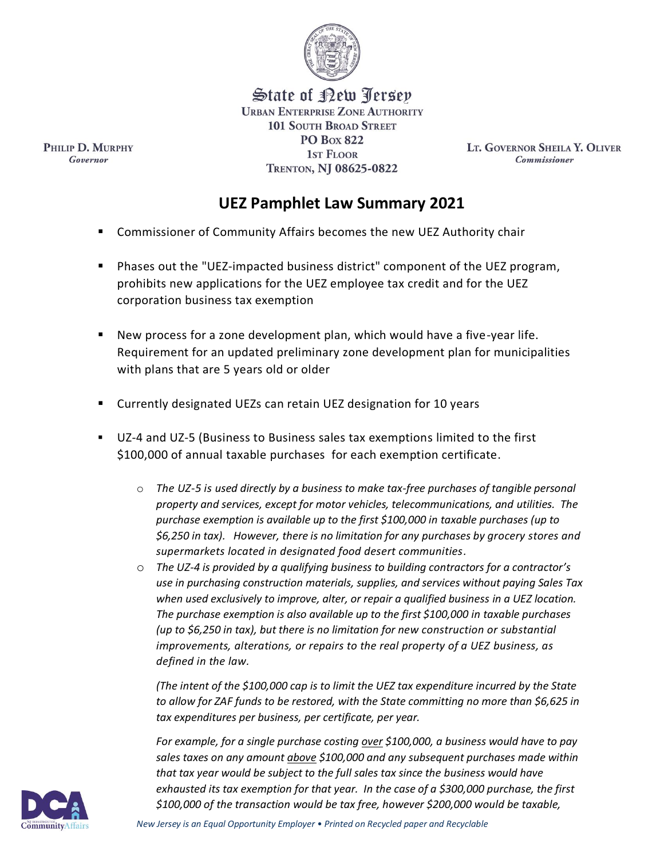

State of <u>Pew Terse</u>p **URBAN ENTERPRISE ZONE AUTHORITY 101 SOUTH BROAD STREET PO Box 822** 1st Floor TRENTON, NJ 08625-0822

LT. GOVERNOR SHEILA Y. OLIVER **Commissioner** 

## **UEZ Pamphlet Law Summary 2021**

- Commissioner of Community Affairs becomes the new UEZ Authority chair
- Phases out the "UEZ-impacted business district" component of the UEZ program, prohibits new applications for the UEZ employee tax credit and for the UEZ corporation business tax exemption
- New process for a zone development plan, which would have a five-year life. Requirement for an updated preliminary zone development plan for municipalities with plans that are 5 years old or older
- Currently designated UEZs can retain UEZ designation for 10 years
- UZ-4 and UZ-5 (Business to Business sales tax exemptions limited to the first \$100,000 of annual taxable purchases for each exemption certificate.
	- o *The UZ-5 is used directly by a business to make tax-free purchases of tangible personal property and services, except for motor vehicles, telecommunications, and utilities. The purchase exemption is available up to the first \$100,000 in taxable purchases (up to \$6,250 in tax). However, there is no limitation for any purchases by grocery stores and supermarkets located in designated food desert communities.*
	- o *The UZ-4 is provided by a qualifying business to building contractors for a contractor's use in purchasing construction materials, supplies, and services without paying Sales Tax when used exclusively to improve, alter, or repair a qualified business in a UEZ location. The purchase exemption is also available up to the first \$100,000 in taxable purchases (up to \$6,250 in tax), but there is no limitation for new construction or substantial improvements, alterations, or repairs to the real property of a UEZ business, as defined in the law.*

*(The intent of the \$100,000 cap is to limit the UEZ tax expenditure incurred by the State to allow for ZAF funds to be restored, with the State committing no more than \$6,625 in tax expenditures per business, per certificate, per year.* 

*For example, for a single purchase costing over \$100,000, a business would have to pay sales taxes on any amount above \$100,000 and any subsequent purchases made within that tax year would be subject to the full sales tax since the business would have exhausted its tax exemption for that year. In the case of a \$300,000 purchase, the first \$100,000 of the transaction would be tax free, however \$200,000 would be taxable,*



PHILIP D. MURPHY Governor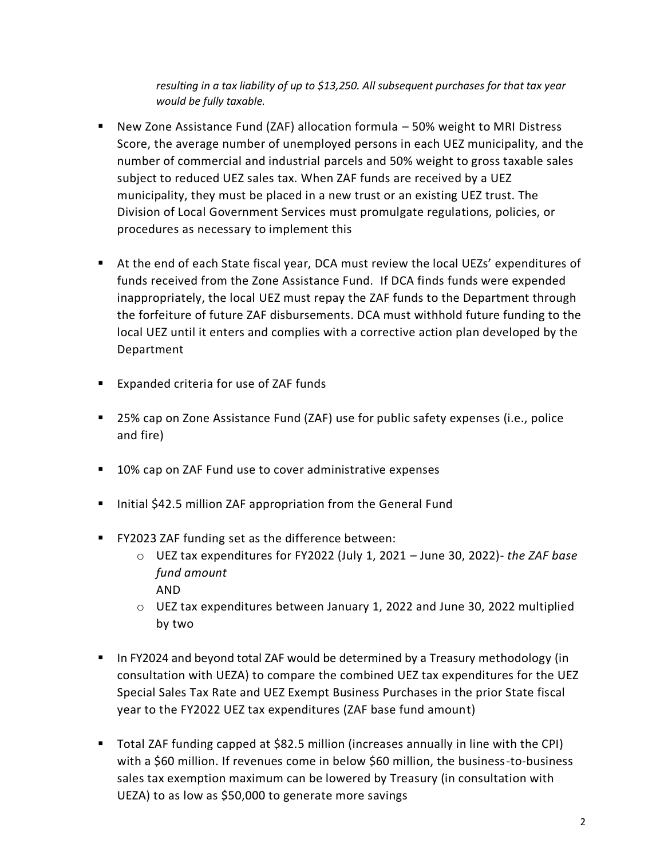*resulting in a tax liability of up to \$13,250. All subsequent purchases for that tax year would be fully taxable.*

- New Zone Assistance Fund (ZAF) allocation formula 50% weight to MRI Distress Score, the average number of unemployed persons in each UEZ municipality, and the number of commercial and industrial parcels and 50% weight to gross taxable sales subject to reduced UEZ sales tax. When ZAF funds are received by a UEZ municipality, they must be placed in a new trust or an existing UEZ trust. The Division of Local Government Services must promulgate regulations, policies, or procedures as necessary to implement this
- At the end of each State fiscal year, DCA must review the local UEZs' expenditures of funds received from the Zone Assistance Fund. If DCA finds funds were expended inappropriately, the local UEZ must repay the ZAF funds to the Department through the forfeiture of future ZAF disbursements. DCA must withhold future funding to the local UEZ until it enters and complies with a corrective action plan developed by the Department
- Expanded criteria for use of ZAF funds
- 25% cap on Zone Assistance Fund (ZAF) use for public safety expenses (i.e., police and fire)
- 10% cap on ZAF Fund use to cover administrative expenses
- Initial \$42.5 million ZAF appropriation from the General Fund
- FY2023 ZAF funding set as the difference between:
	- o UEZ tax expenditures for FY2022 (July 1, 2021 June 30, 2022)- *the ZAF base fund amount* AND
	- $\circ$  UEZ tax expenditures between January 1, 2022 and June 30, 2022 multiplied by two
- In FY2024 and beyond total ZAF would be determined by a Treasury methodology (in consultation with UEZA) to compare the combined UEZ tax expenditures for the UEZ Special Sales Tax Rate and UEZ Exempt Business Purchases in the prior State fiscal year to the FY2022 UEZ tax expenditures (ZAF base fund amount)
- Total ZAF funding capped at \$82.5 million (increases annually in line with the CPI) with a \$60 million. If revenues come in below \$60 million, the business-to-business sales tax exemption maximum can be lowered by Treasury (in consultation with UEZA) to as low as \$50,000 to generate more savings